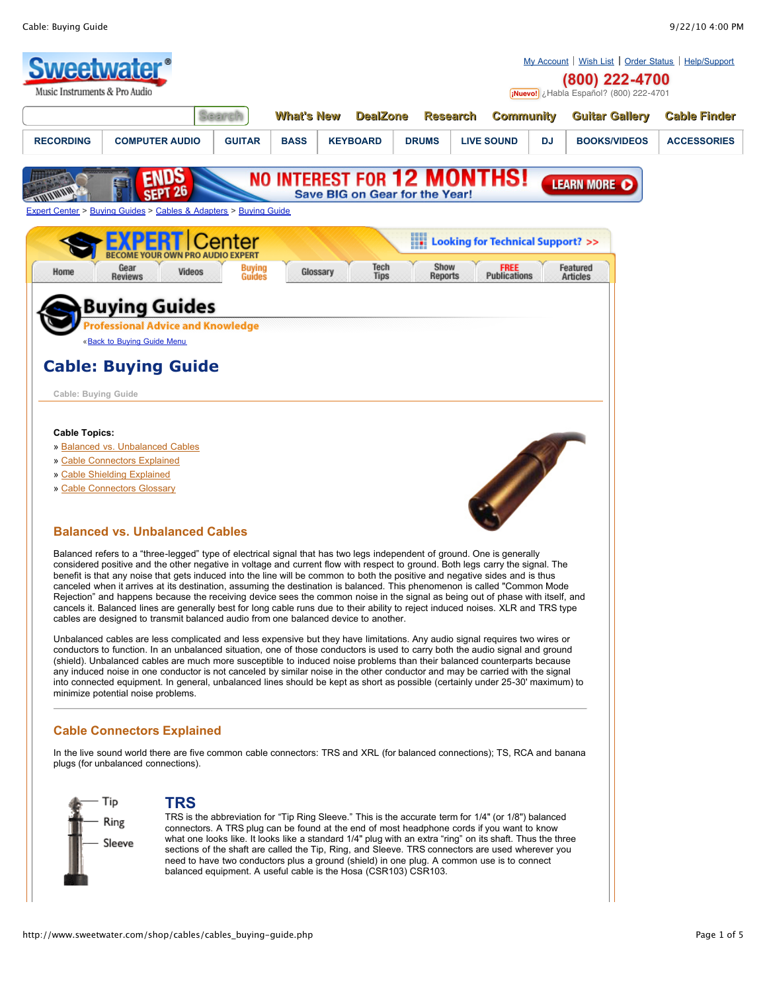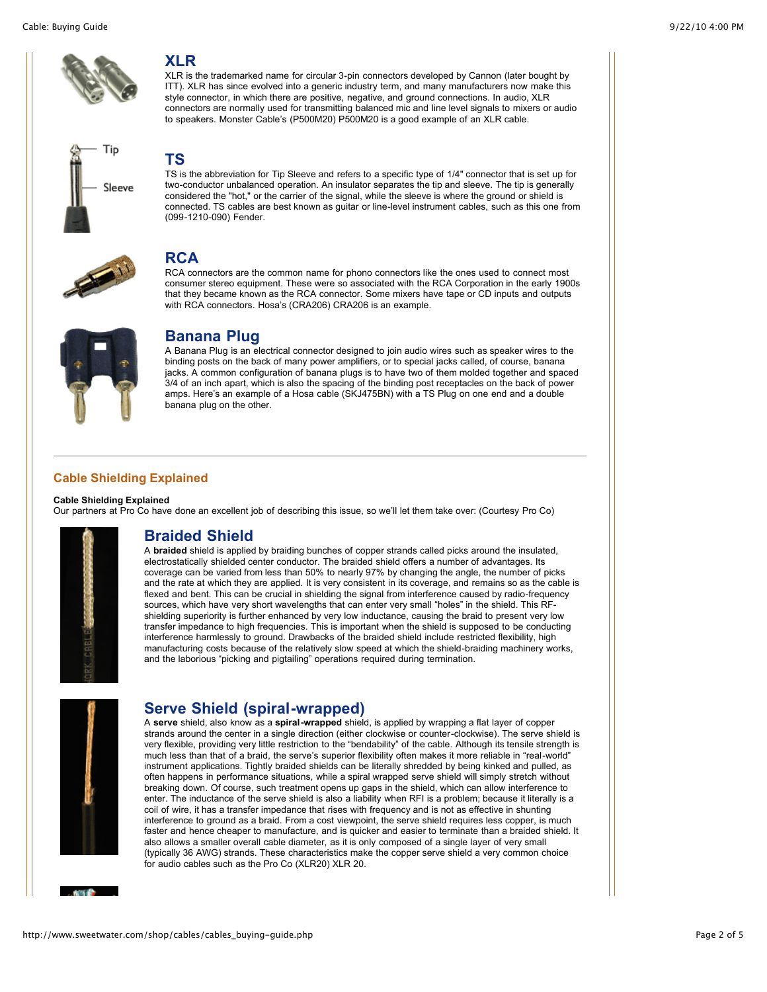

**XLR**

XLR is the trademarked name for circular 3-pin connectors developed by Cannon (later bought by ITT). XLR has since evolved into a generic industry term, and many manufacturers now make this style connector, in which there are positive, negative, and ground connections. In audio, XLR connectors are normally used for transmitting balanced mic and line level signals to mixers or audio to speakers. Monster Cable's (P500M20) P500M20 is a good example of an XLR cable.



# **TS**

TS is the abbreviation for Tip Sleeve and refers to a specific type of 1/4" connector that is set up for two-conductor unbalanced operation. An insulator separates the tip and sleeve. The tip is generally considered the "hot," or the carrier of the signal, while the sleeve is where the ground or shield is connected. TS cables are best known as guitar or line-level instrument cables, such as this one from (099-1210-090) Fender.



# **RCA**

RCA connectors are the common name for phono connectors like the ones used to connect most consumer stereo equipment. These were so associated with the RCA Corporation in the early 1900s that they became known as the RCA connector. Some mixers have tape or CD inputs and outputs with RCA connectors. Hosa's (CRA206) CRA206 is an example.



# **Banana Plug**

A Banana Plug is an electrical connector designed to join audio wires such as speaker wires to the binding posts on the back of many power amplifiers, or to special jacks called, of course, banana jacks. A common configuration of banana plugs is to have two of them molded together and spaced 3/4 of an inch apart, which is also the spacing of the binding post receptacles on the back of power amps. Here's an example of a Hosa cable (SKJ475BN) with a TS Plug on one end and a double banana plug on the other.

# **Cable Shielding Explained**

## **Cable Shielding Explained**

Our partners at Pro Co have done an excellent job of describing this issue, so we'll let them take over: (Courtesy Pro Co)



# **Braided Shield**

A **braided** shield is applied by braiding bunches of copper strands called picks around the insulated, electrostatically shielded center conductor. The braided shield offers a number of advantages. Its coverage can be varied from less than 50% to nearly 97% by changing the angle, the number of picks and the rate at which they are applied. It is very consistent in its coverage, and remains so as the cable is flexed and bent. This can be crucial in shielding the signal from interference caused by radio-frequency sources, which have very short wavelengths that can enter very small "holes" in the shield. This RFshielding superiority is further enhanced by very low inductance, causing the braid to present very low transfer impedance to high frequencies. This is important when the shield is supposed to be conducting interference harmlessly to ground. Drawbacks of the braided shield include restricted flexibility, high manufacturing costs because of the relatively slow speed at which the shield-braiding machinery works, and the laborious "picking and pigtailing" operations required during termination.



# **Serve Shield (spiral-wrapped)**

A **serve** shield, also know as a **spiral-wrapped** shield, is applied by wrapping a flat layer of copper strands around the center in a single direction (either clockwise or counter-clockwise). The serve shield is very flexible, providing very little restriction to the "bendability" of the cable. Although its tensile strength is much less than that of a braid, the serve's superior flexibility often makes it more reliable in "real-world" instrument applications. Tightly braided shields can be literally shredded by being kinked and pulled, as often happens in performance situations, while a spiral wrapped serve shield will simply stretch without breaking down. Of course, such treatment opens up gaps in the shield, which can allow interference to enter. The inductance of the serve shield is also a liability when RFI is a problem; because it literally is a coil of wire, it has a transfer impedance that rises with frequency and is not as effective in shunting interference to ground as a braid. From a cost viewpoint, the serve shield requires less copper, is much faster and hence cheaper to manufacture, and is quicker and easier to terminate than a braided shield. It also allows a smaller overall cable diameter, as it is only composed of a single layer of very small (typically 36 AWG) strands. These characteristics make the copper serve shield a very common choice for audio cables such as the Pro Co (XLR20) XLR 20.

**ADICAL**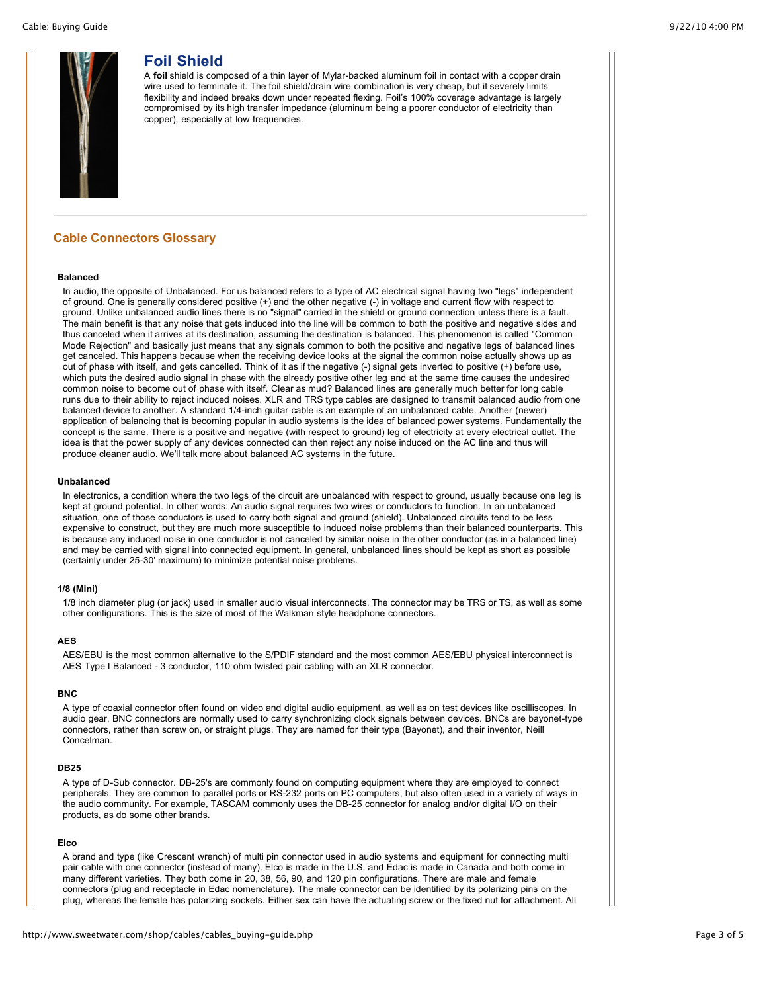

# **Foil Shield**

A **foil** shield is composed of a thin layer of Mylar-backed aluminum foil in contact with a copper drain wire used to terminate it. The foil shield/drain wire combination is very cheap, but it severely limits flexibility and indeed breaks down under repeated flexing. Foil's 100% coverage advantage is largely compromised by its high transfer impedance (aluminum being a poorer conductor of electricity than copper), especially at low frequencies.

# **Cable Connectors Glossary**

## **Balanced**

In audio, the opposite of Unbalanced. For us balanced refers to a type of AC electrical signal having two "legs" independent of ground. One is generally considered positive (+) and the other negative (-) in voltage and current flow with respect to ground. Unlike unbalanced audio lines there is no "signal" carried in the shield or ground connection unless there is a fault. The main benefit is that any noise that gets induced into the line will be common to both the positive and negative sides and thus canceled when it arrives at its destination, assuming the destination is balanced. This phenomenon is called "Common Mode Rejection" and basically just means that any signals common to both the positive and negative legs of balanced lines get canceled. This happens because when the receiving device looks at the signal the common noise actually shows up as out of phase with itself, and gets cancelled. Think of it as if the negative (-) signal gets inverted to positive (+) before use, which puts the desired audio signal in phase with the already positive other leg and at the same time causes the undesired common noise to become out of phase with itself. Clear as mud? Balanced lines are generally much better for long cable runs due to their ability to reject induced noises. XLR and TRS type cables are designed to transmit balanced audio from one balanced device to another. A standard 1/4-inch guitar cable is an example of an unbalanced cable. Another (newer) application of balancing that is becoming popular in audio systems is the idea of balanced power systems. Fundamentally the concept is the same. There is a positive and negative (with respect to ground) leg of electricity at every electrical outlet. The idea is that the power supply of any devices connected can then reject any noise induced on the AC line and thus will produce cleaner audio. We'll talk more about balanced AC systems in the future.

#### **Unbalanced**

In electronics, a condition where the two legs of the circuit are unbalanced with respect to ground, usually because one leg is kept at ground potential. In other words: An audio signal requires two wires or conductors to function. In an unbalanced situation, one of those conductors is used to carry both signal and ground (shield). Unbalanced circuits tend to be less expensive to construct, but they are much more susceptible to induced noise problems than their balanced counterparts. This is because any induced noise in one conductor is not canceled by similar noise in the other conductor (as in a balanced line) and may be carried with signal into connected equipment. In general, unbalanced lines should be kept as short as possible (certainly under 25-30' maximum) to minimize potential noise problems.

#### **1/8 (Mini)**

1/8 inch diameter plug (or jack) used in smaller audio visual interconnects. The connector may be TRS or TS, as well as some other configurations. This is the size of most of the Walkman style headphone connectors.

# **AES**

AES/EBU is the most common alternative to the S/PDIF standard and the most common AES/EBU physical interconnect is AES Type I Balanced - 3 conductor, 110 ohm twisted pair cabling with an XLR connector.

## **BNC**

A type of coaxial connector often found on video and digital audio equipment, as well as on test devices like oscilliscopes. In audio gear, BNC connectors are normally used to carry synchronizing clock signals between devices. BNCs are bayonet-type connectors, rather than screw on, or straight plugs. They are named for their type (Bayonet), and their inventor, Neill Concelman.

### **DB25**

A type of D-Sub connector. DB-25's are commonly found on computing equipment where they are employed to connect peripherals. They are common to parallel ports or RS-232 ports on PC computers, but also often used in a variety of ways in the audio community. For example, TASCAM commonly uses the DB-25 connector for analog and/or digital I/O on their products, as do some other brands.

#### **Elco**

A brand and type (like Crescent wrench) of multi pin connector used in audio systems and equipment for connecting multi pair cable with one connector (instead of many). Elco is made in the U.S. and Edac is made in Canada and both come in many different varieties. They both come in 20, 38, 56, 90, and 120 pin configurations. There are male and female connectors (plug and receptacle in Edac nomenclature). The male connector can be identified by its polarizing pins on the plug, whereas the female has polarizing sockets. Either sex can have the actuating screw or the fixed nut for attachment. All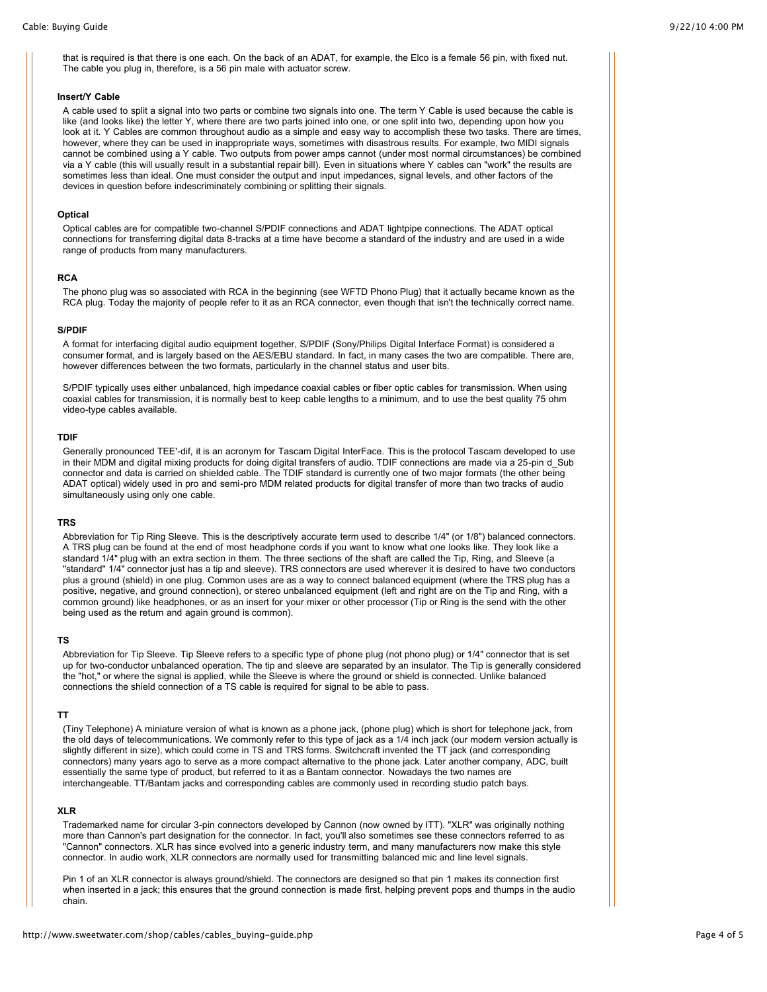that is required is that there is one each. On the back of an ADAT, for example, the Elco is a female 56 pin, with fixed nut. The cable you plug in, therefore, is a 56 pin male with actuator screw.

## **Insert/Y Cable**

A cable used to split a signal into two parts or combine two signals into one. The term Y Cable is used because the cable is like (and looks like) the letter Y, where there are two parts joined into one, or one split into two, depending upon how you look at it. Y Cables are common throughout audio as a simple and easy way to accomplish these two tasks. There are times, however, where they can be used in inappropriate ways, sometimes with disastrous results. For example, two MIDI signals cannot be combined using a Y cable. Two outputs from power amps cannot (under most normal circumstances) be combined via a Y cable (this will usually result in a substantial repair bill). Even in situations where Y cables can "work" the results are sometimes less than ideal. One must consider the output and input impedances, signal levels, and other factors of the devices in question before indescriminately combining or splitting their signals.

### **Optical**

Optical cables are for compatible two-channel S/PDIF connections and ADAT lightpipe connections. The ADAT optical connections for transferring digital data 8-tracks at a time have become a standard of the industry and are used in a wide range of products from many manufacturers.

### **RCA**

The phono plug was so associated with RCA in the beginning (see WFTD Phono Plug) that it actually became known as the RCA plug. Today the majority of people refer to it as an RCA connector, even though that isn't the technically correct name.

## **S/PDIF**

A format for interfacing digital audio equipment together, S/PDIF (Sony/Philips Digital Interface Format) is considered a consumer format, and is largely based on the AES/EBU standard. In fact, in many cases the two are compatible. There are, however differences between the two formats, particularly in the channel status and user bits.

S/PDIF typically uses either unbalanced, high impedance coaxial cables or fiber optic cables for transmission. When using coaxial cables for transmission, it is normally best to keep cable lengths to a minimum, and to use the best quality 75 ohm video-type cables available.

### **TDIF**

Generally pronounced TEE'-dif, it is an acronym for Tascam Digital InterFace. This is the protocol Tascam developed to use in their MDM and digital mixing products for doing digital transfers of audio. TDIF connections are made via a 25-pin d\_Sub connector and data is carried on shielded cable. The TDIF standard is currently one of two major formats (the other being ADAT optical) widely used in pro and semi-pro MDM related products for digital transfer of more than two tracks of audio simultaneously using only one cable.

#### **TRS**

Abbreviation for Tip Ring Sleeve. This is the descriptively accurate term used to describe 1/4" (or 1/8") balanced connectors. A TRS plug can be found at the end of most headphone cords if you want to know what one looks like. They look like a standard 1/4" plug with an extra section in them. The three sections of the shaft are called the Tip, Ring, and Sleeve (a "standard" 1/4" connector just has a tip and sleeve). TRS connectors are used wherever it is desired to have two conductors plus a ground (shield) in one plug. Common uses are as a way to connect balanced equipment (where the TRS plug has a positive, negative, and ground connection), or stereo unbalanced equipment (left and right are on the Tip and Ring, with a common ground) like headphones, or as an insert for your mixer or other processor (Tip or Ring is the send with the other being used as the return and again ground is common).

#### **TS**

Abbreviation for Tip Sleeve. Tip Sleeve refers to a specific type of phone plug (not phono plug) or 1/4" connector that is set up for two-conductor unbalanced operation. The tip and sleeve are separated by an insulator. The Tip is generally considered the "hot," or where the signal is applied, while the Sleeve is where the ground or shield is connected. Unlike balanced connections the shield connection of a TS cable is required for signal to be able to pass.

#### **TT**

(Tiny Telephone) A miniature version of what is known as a phone jack, (phone plug) which is short for telephone jack, from the old days of telecommunications. We commonly refer to this type of jack as a 1/4 inch jack (our modern version actually is slightly different in size), which could come in TS and TRS forms. Switchcraft invented the TT jack (and corresponding connectors) many years ago to serve as a more compact alternative to the phone jack. Later another company, ADC, built essentially the same type of product, but referred to it as a Bantam connector. Nowadays the two names are interchangeable. TT/Bantam jacks and corresponding cables are commonly used in recording studio patch bays.

## **XLR**

Trademarked name for circular 3-pin connectors developed by Cannon (now owned by ITT). "XLR" was originally nothing more than Cannon's part designation for the connector. In fact, you'll also sometimes see these connectors referred to as "Cannon" connectors. XLR has since evolved into a generic industry term, and many manufacturers now make this style connector. In audio work, XLR connectors are normally used for transmitting balanced mic and line level signals.

Pin 1 of an XLR connector is always ground/shield. The connectors are designed so that pin 1 makes its connection first when inserted in a jack; this ensures that the ground connection is made first, helping prevent pops and thumps in the audio chain.